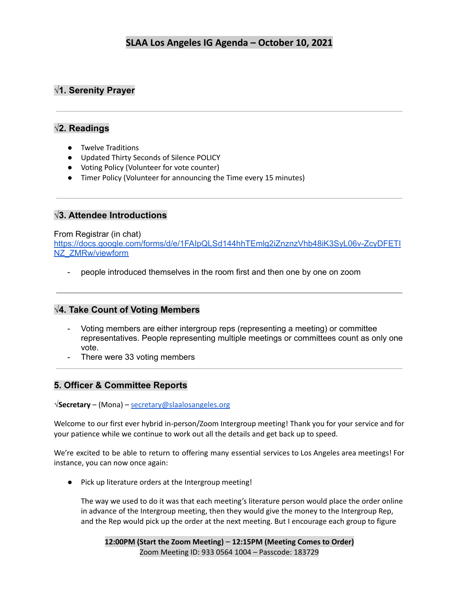# **√1. Serenity Prayer**

# **√2. Readings**

- Twelve Traditions
- Updated Thirty Seconds of Silence POLICY
- Voting Policy (Volunteer for vote counter)
- Timer Policy (Volunteer for announcing the Time every 15 minutes)

# **√3. Attendee Introductions**

### From Registrar (in chat)

[https://docs.google.com/forms/d/e/1FAIpQLSd144hhTEmlg2iZnznzVhb48iK3SyL06v-ZcyDFETI](https://docs.google.com/forms/d/e/1FAIpQLSd144hhTEmlg2iZnznzVhb48iK3SyL06v-ZcyDFETINZ_ZMRw/viewform) [NZ\\_ZMRw/viewform](https://docs.google.com/forms/d/e/1FAIpQLSd144hhTEmlg2iZnznzVhb48iK3SyL06v-ZcyDFETINZ_ZMRw/viewform)

people introduced themselves in the room first and then one by one on zoom

# **√4. Take Count of Voting Members**

- Voting members are either intergroup reps (representing a meeting) or committee representatives. People representing multiple meetings or committees count as only one vote.
- There were 33 voting members

# **5. Officer & Committee Reports**

**√Secretary** – (Mona) – [secretary@slaalosangeles.org](mailto:secretary@slaalosangeles.org)

Welcome to our first ever hybrid in-person/Zoom Intergroup meeting! Thank you for your service and for your patience while we continue to work out all the details and get back up to speed.

We're excited to be able to return to offering many essential services to Los Angeles area meetings! For instance, you can now once again:

● Pick up literature orders at the Intergroup meeting!

The way we used to do it was that each meeting's literature person would place the order online in advance of the Intergroup meeting, then they would give the money to the Intergroup Rep, and the Rep would pick up the order at the next meeting. But I encourage each group to figure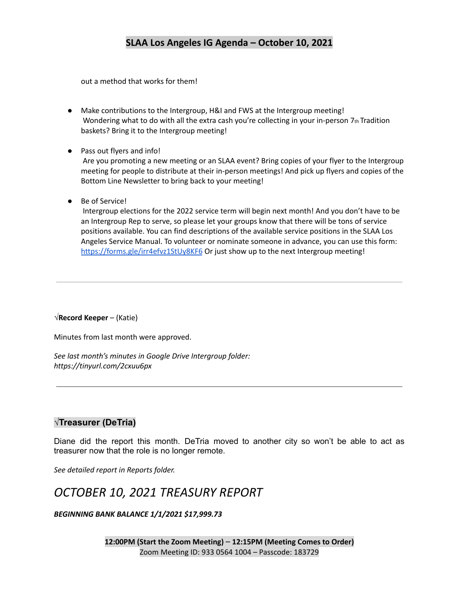out a method that works for them!

- Make contributions to the Intergroup, H&I and FWS at the Intergroup meeting! Wondering what to do with all the extra cash you're collecting in your in-person 7th Tradition baskets? Bring it to the Intergroup meeting!
- Pass out flyers and info!

Are you promoting a new meeting or an SLAA event? Bring copies of your flyer to the Intergroup meeting for people to distribute at their in-person meetings! And pick up flyers and copies of the Bottom Line Newsletter to bring back to your meeting!

● Be of Service!

Intergroup elections for the 2022 service term will begin next month! And you don't have to be an Intergroup Rep to serve, so please let your groups know that there will be tons of service positions available. You can find descriptions of the available service positions in the SLAA Los Angeles Service Manual. To volunteer or nominate someone in advance, you can use this form: <https://forms.gle/irr4efvz1StUy8KF6> Or just show up to the next Intergroup meeting!

#### **√Record Keeper** – (Katie)

Minutes from last month were approved.

*See last month's minutes in Google Drive Intergroup folder: https://tinyurl.com/2cxuu6px*

# **√Treasurer (DeTria)**

Diane did the report this month. DeTria moved to another city so won't be able to act as treasurer now that the role is no longer remote.

*See detailed report in Reports folder.*

# *OCTOBER 10, 2021 TREASURY REPORT*

#### *BEGINNING BANK BALANCE 1/1/2021 \$17,999.73*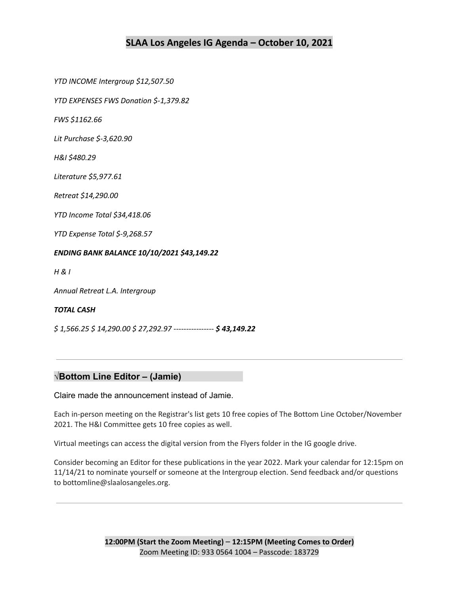*YTD INCOME Intergroup \$12,507.50*

*YTD EXPENSES FWS Donation \$‐1,379.82*

*FWS \$1162.66*

*Lit Purchase \$‐3,620.90*

*H&I \$480.29*

*Literature \$5,977.61*

*Retreat \$14,290.00*

*YTD Income Total \$34,418.06*

*YTD Expense Total \$‐9,268.57*

#### *ENDING BANK BALANCE 10/10/2021 \$43,149.22*

*H & I*

*Annual Retreat L.A. Intergroup*

#### *TOTAL CASH*

*\$ 1,566.25 \$ 14,290.00 \$ 27,292.97 ‐‐‐‐‐‐‐‐‐‐‐‐‐‐‐‐ \$ 43,149.22*

#### **√Bottom Line Editor – (Jamie)**

Claire made the announcement instead of Jamie.

Each in-person meeting on the Registrar's list gets 10 free copies of The Bottom Line October/November 2021. The H&I Committee gets 10 free copies as well.

Virtual meetings can access the digital version from the Flyers folder in the IG google drive.

Consider becoming an Editor for these publications in the year 2022. Mark your calendar for 12:15pm on 11/14/21 to nominate yourself or someone at the Intergroup election. Send feedback and/or questions to bottomline@slaalosangeles.org.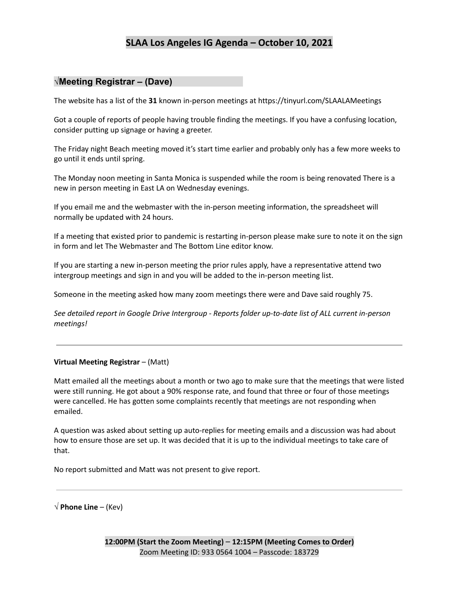# **√Meeting Registrar – (Dave)**

The website has a list of the **31** known in-person meetings at https://tinyurl.com/SLAALAMeetings

Got a couple of reports of people having trouble finding the meetings. If you have a confusing location, consider putting up signage or having a greeter.

The Friday night Beach meeting moved it's start time earlier and probably only has a few more weeks to go until it ends until spring.

The Monday noon meeting in Santa Monica is suspended while the room is being renovated There is a new in person meeting in East LA on Wednesday evenings.

If you email me and the webmaster with the in-person meeting information, the spreadsheet will normally be updated with 24 hours.

If a meeting that existed prior to pandemic is restarting in-person please make sure to note it on the sign in form and let The Webmaster and The Bottom Line editor know.

If you are starting a new in-person meeting the prior rules apply, have a representative attend two intergroup meetings and sign in and you will be added to the in-person meeting list.

Someone in the meeting asked how many zoom meetings there were and Dave said roughly 75.

*See detailed report in Google Drive Intergroup - Reports folder up-to-date list of ALL current in-person meetings!*

#### **Virtual Meeting Registrar** – (Matt)

Matt emailed all the meetings about a month or two ago to make sure that the meetings that were listed were still running. He got about a 90% response rate, and found that three or four of those meetings were cancelled. He has gotten some complaints recently that meetings are not responding when emailed.

A question was asked about setting up auto-replies for meeting emails and a discussion was had about how to ensure those are set up. It was decided that it is up to the individual meetings to take care of that.

No report submitted and Matt was not present to give report.

**√ Phone Line** – (Kev)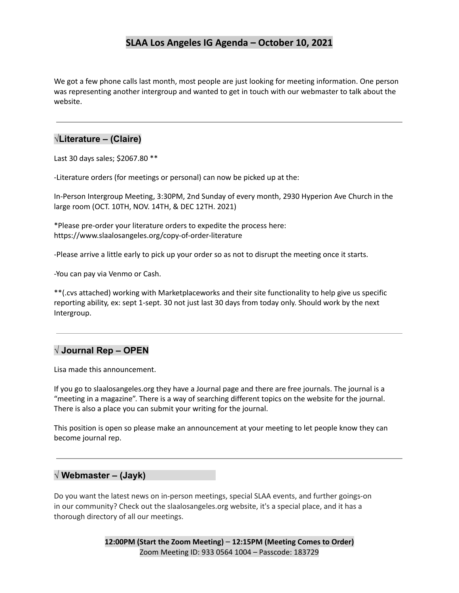We got a few phone calls last month, most people are just looking for meeting information. One person was representing another intergroup and wanted to get in touch with our webmaster to talk about the website.

# **√Literature – (Claire)**

Last 30 days sales; \$2067.80 \*\*

-Literature orders (for meetings or personal) can now be picked up at the:

In-Person Intergroup Meeting, 3:30PM, 2nd Sunday of every month, 2930 Hyperion Ave Church in the large room (OCT. 10TH, NOV. 14TH, & DEC 12TH. 2021)

\*Please pre-order your literature orders to expedite the process here: https://www.slaalosangeles.org/copy-of-order-literature

-Please arrive a little early to pick up your order so as not to disrupt the meeting once it starts.

-You can pay via Venmo or Cash.

\*\*(.cvs attached) working with Marketplaceworks and their site functionality to help give us specific reporting ability, ex: sept 1-sept. 30 not just last 30 days from today only. Should work by the next Intergroup.

# **√ Journal Rep – OPEN**

Lisa made this announcement.

If you go to slaalosangeles.org they have a Journal page and there are free journals. The journal is a "meeting in a magazine". There is a way of searching different topics on the website for the journal. There is also a place you can submit your writing for the journal.

This position is open so please make an announcement at your meeting to let people know they can become journal rep.

## **√ Webmaster – (Jayk)**

Do you want the latest news on in-person meetings, special SLAA events, and further goings-on in our community? Check out the slaalosangeles.org website, it's a special place, and it has a thorough directory of all our meetings.

> **12:00PM (Start the Zoom Meeting)** – **12:15PM (Meeting Comes to Order)** Zoom Meeting ID: 933 0564 1004 – Passcode: 183729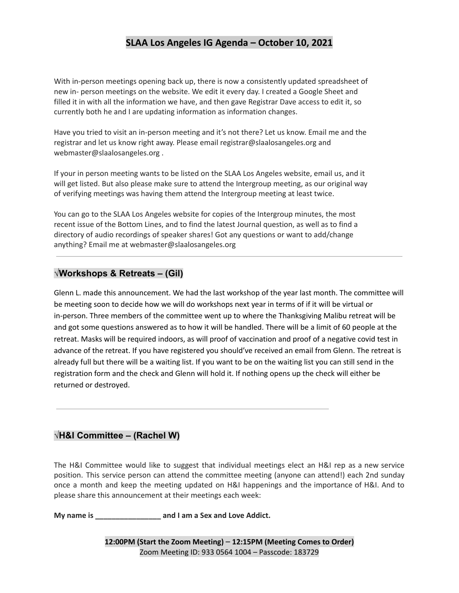With in-person meetings opening back up, there is now a consistently updated spreadsheet of new in- person meetings on the website. We edit it every day. I created a Google Sheet and filled it in with all the information we have, and then gave Registrar Dave access to edit it, so currently both he and I are updating information as information changes.

Have you tried to visit an in-person meeting and it's not there? Let us know. Email me and the registrar and let us know right away. Please email registrar@slaalosangeles.org and webmaster@slaalosangeles.org .

If your in person meeting wants to be listed on the SLAA Los Angeles website, email us, and it will get listed. But also please make sure to attend the Intergroup meeting, as our original way of verifying meetings was having them attend the Intergroup meeting at least twice.

You can go to the SLAA Los Angeles website for copies of the Intergroup minutes, the most recent issue of the Bottom Lines, and to find the latest Journal question, as well as to find a directory of audio recordings of speaker shares! Got any questions or want to add/change anything? Email me at webmaster@slaalosangeles.org

## **√Workshops & Retreats – (Gil)**

Glenn L. made this announcement. We had the last workshop of the year last month. The committee will be meeting soon to decide how we will do workshops next year in terms of if it will be virtual or in-person. Three members of the committee went up to where the Thanksgiving Malibu retreat will be and got some questions answered as to how it will be handled. There will be a limit of 60 people at the retreat. Masks will be required indoors, as will proof of vaccination and proof of a negative covid test in advance of the retreat. If you have registered you should've received an email from Glenn. The retreat is already full but there will be a waiting list. If you want to be on the waiting list you can still send in the registration form and the check and Glenn will hold it. If nothing opens up the check will either be returned or destroyed.

## **√H&I Committee – (Rachel W)**

The H&I Committee would like to suggest that individual meetings elect an H&I rep as a new service position. This service person can attend the committee meeting (anyone can attend!) each 2nd sunday once a month and keep the meeting updated on H&I happenings and the importance of H&I. And to please share this announcement at their meetings each week:

**My name is \_\_\_\_\_\_\_\_\_\_\_\_\_\_\_\_ and I am a Sex and Love Addict.**

**12:00PM (Start the Zoom Meeting)** – **12:15PM (Meeting Comes to Order)** Zoom Meeting ID: 933 0564 1004 – Passcode: 183729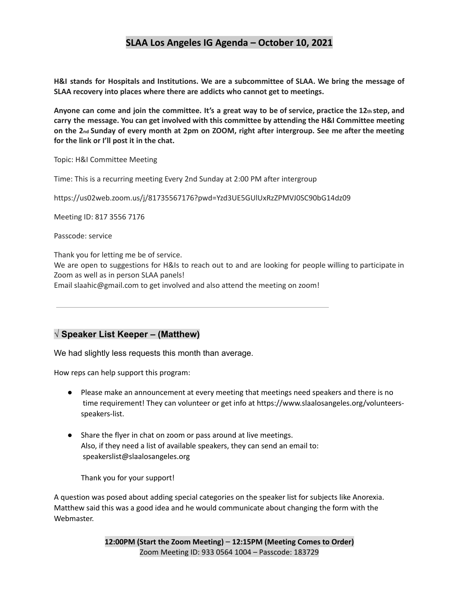**H&I stands for Hospitals and Institutions. We are a subcommittee of SLAA. We bring the message of SLAA recovery into places where there are addicts who cannot get to meetings.**

Anyone can come and join the committee. It's a great way to be of service, practice the 12th step, and **carry the message. You can get involved with this committee by attending the H&I Committee meeting** on the 2nd Sunday of every month at 2pm on ZOOM, right after intergroup. See me after the meeting **for the link or I'll post it in the chat.**

Topic: H&I Committee Meeting

Time: This is a recurring meeting Every 2nd Sunday at 2:00 PM after intergroup

https://us02web.zoom.us/j/81735567176?pwd=Yzd3UE5GUlUxRzZPMVJ0SC90bG14dz09

Meeting ID: 817 3556 7176

Passcode: service

Thank you for letting me be of service.

We are open to suggestions for H&Is to reach out to and are looking for people willing to participate in Zoom as well as in person SLAA panels!

Email slaahic@gmail.com to get involved and also attend the meeting on zoom!

## **√ Speaker List Keeper – (Matthew)**

We had slightly less requests this month than average.

How reps can help support this program:

- Please make an announcement at every meeting that meetings need speakers and there is no time requirement! They can volunteer or get info at https://www.slaalosangeles.org/volunteersspeakers-list.
- Share the flyer in chat on zoom or pass around at live meetings. Also, if they need a list of available speakers, they can send an email to: speakerslist@slaalosangeles.org

Thank you for your support!

A question was posed about adding special categories on the speaker list for subjects like Anorexia. Matthew said this was a good idea and he would communicate about changing the form with the Webmaster.

> **12:00PM (Start the Zoom Meeting)** – **12:15PM (Meeting Comes to Order)** Zoom Meeting ID: 933 0564 1004 – Passcode: 183729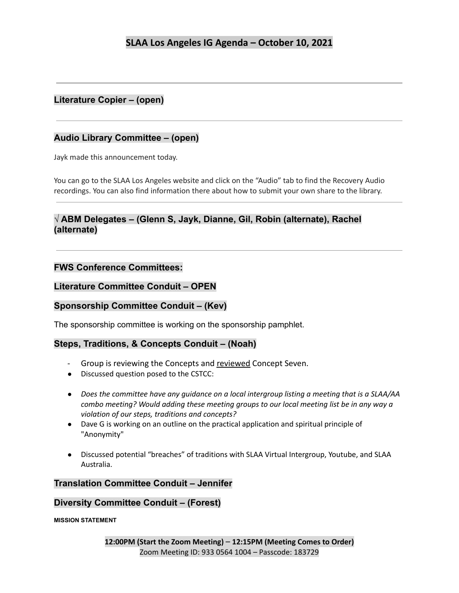# **Literature Copier – (open)**

# **Audio Library Committee – (open)**

Jayk made this announcement today.

You can go to the SLAA Los Angeles website and click on the "Audio" tab to find the Recovery Audio recordings. You can also find information there about how to submit your own share to the library.

# **√ ABM Delegates – (Glenn S, Jayk, Dianne, Gil, Robin (alternate), Rachel (alternate)**

## **FWS Conference Committees:**

## **Literature Committee Conduit – OPEN**

# **Sponsorship Committee Conduit – (Kev)**

The sponsorship committee is working on the sponsorship pamphlet.

# **Steps, Traditions, & Concepts Conduit – (Noah)**

- Group is reviewing the Concepts and reviewed Concept Seven.
- Discussed question posed to the CSTCC:
- *Does the committee have any guidance on a local intergroup listing a meeting that is a SLAA/AA combo meeting? Would adding these meeting groups to our local meeting list be in any way a violation of our steps, traditions and concepts?*
- Dave G is working on an outline on the practical application and spiritual principle of "Anonymity"
- Discussed potential "breaches" of traditions with SLAA Virtual Intergroup, Youtube, and SLAA Australia.

## **Translation Committee Conduit – Jennifer**

## **Diversity Committee Conduit – (Forest)**

**MISSION STATEMENT**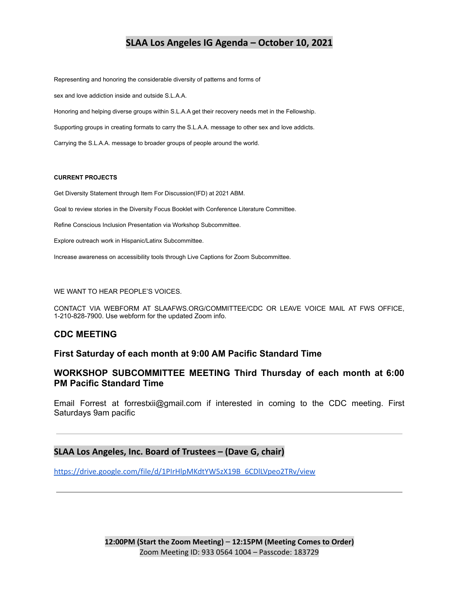Representing and honoring the considerable diversity of patterns and forms of

sex and love addiction inside and outside S.L.A.A.

Honoring and helping diverse groups within S.L.A.A get their recovery needs met in the Fellowship.

Supporting groups in creating formats to carry the S.L.A.A. message to other sex and love addicts.

Carrying the S.L.A.A. message to broader groups of people around the world.

#### **CURRENT PROJECTS**

Get Diversity Statement through Item For Discussion(IFD) at 2021 ABM.

Goal to review stories in the Diversity Focus Booklet with Conference Literature Committee.

Refine Conscious Inclusion Presentation via Workshop Subcommittee.

Explore outreach work in Hispanic/Latinx Subcommittee.

Increase awareness on accessibility tools through Live Captions for Zoom Subcommittee.

#### WE WANT TO HEAR PEOPLE'S VOICES.

CONTACT VIA WEBFORM AT SLAAFWS.ORG/COMMITTEE/CDC OR LEAVE VOICE MAIL AT FWS OFFICE, 1-210-828-7900. Use webform for the updated Zoom info.

#### **CDC MEETING**

### **First Saturday of each month at 9:00 AM Pacific Standard Time**

### **WORKSHOP SUBCOMMITTEE MEETING Third Thursday of each month at 6:00 PM Pacific Standard Time**

Email Forrest at forrestxii@gmail.com if interested in coming to the CDC meeting. First Saturdays 9am pacific

#### **SLAA Los Angeles, Inc. Board of Trustees – (Dave G, chair)**

[https://drive.google.com/file/d/1PIrHlpMKdtYW5zX19B\\_6CDlLVpeo2TRv/view](https://drive.google.com/file/d/1PIrHlpMKdtYW5zX19B_6CDlLVpeo2TRv/view)